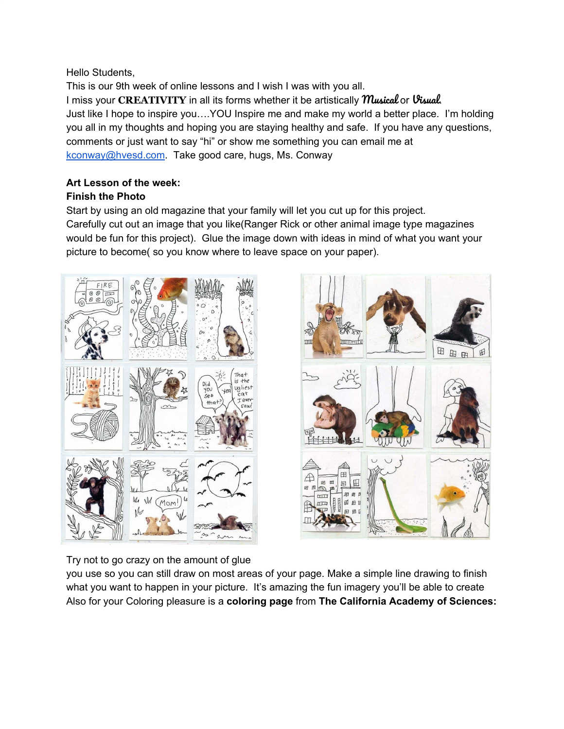Hello Students,

This is our 9th week of online lessons and I wish I was with you all. I miss your **CREATIVITY** in all its forms whether it be artistically Musical or Visual. Just like I hope to inspire you….YOU Inspire me and make my world a better place. I'm holding you all in my thoughts and hoping you are staying healthy and safe. If you have any questions, comments or just want to say "hi" or show me something you can email me at [kconway@hvesd.com](mailto:kconway@hvesd.com). Take good care, hugs, Ms. Conway

## **Art Lesson of the week:**

## **Finish the Photo**

Start by using an old magazine that your family will let you cut up for this project. Carefully cut out an image that you like(Ranger Rick or other animal image type magazines would be fun for this project). Glue the image down with ideas in mind of what you want your picture to become( so you know where to leave space on your paper).





Try not to go crazy on the amount of glue

you use so you can still draw on most areas of your page. Make a simple line drawing to finish what you want to happen in your picture. It's amazing the fun imagery you'll be able to create Also for your Coloring pleasure is a **coloring page** from **The California Academy of Sciences:**